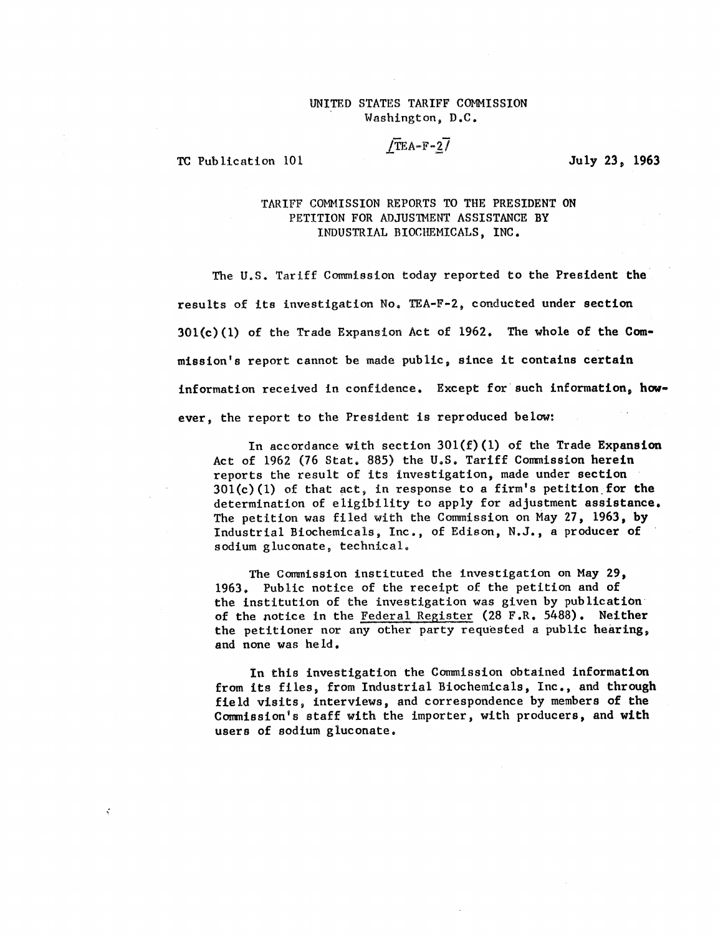#### UNITED STATES TARIFF COMMISSION Washington, D.C.

# $/TEA-F-27$

TC Publication 101 July 23, 1963

k.

### TARIFF COMMISSION REPORTS TO THE PRESIDENT ON PETITION FOR ADJUSTMENT ASSISTANCE BY INDUSTRIAL BIOCHEMICALS, INC.

The U.S. Tariff Commission today reported to the President the results of its investigation No. TEA-F-2, conducted under section 301(c)(1) of the Trade Expansion Act of 1962. The whole of the Commission's report cannot be made public, since it contains certain information received in confidence. Except for such information, **however,** the report to the President is reproduced below:

In accordance with section  $301(f)(1)$  of the Trade Expansion Act of 1962 (76 Stat. 885) the U.S. Tariff Commission herein reports the result of its investigation, made under section  $301(c)(1)$  of that act, in response to a firm's petition for the determination of eligibility to apply for adjustment assistance. The petition was filed with the Commission on May 27, 1963, by Industrial Biochemicals, Inc., of Edison, N.J., a producer of sodium gluconate, technical.

The Commission instituted the investigation on May 29, 1963. Public notice of the receipt of the petition and of the institution of the investigation was given by publication of the notice in the Federal Register (28 F.R. 5488). Neither the petitioner nor any other party requested a public hearing, and none was held.

In this investigation the Commission obtained information from its files, from Industrial Biochemicals, Inc., and through field visits, interviews, and correspondence by members of the Commission's staff with the importer, with producers, and with users of sodium gluconate.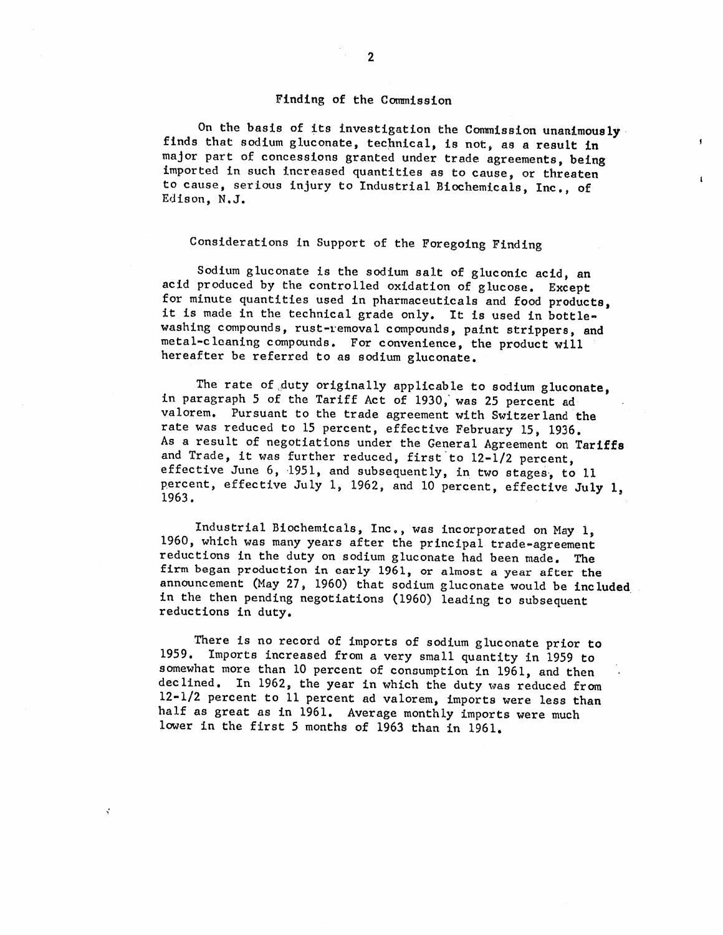#### Finding of the Commission

On the basis of its investigation the Commission unanimously finds that sodium gluconate, technical, is not, as a result in major part of concessions granted under trade agreements, being imported in such increased quantities as to cause, or threaten to cause, serious injury to Industrial Biochemicals, Inc., of Edison, N.J.

 $\mathbf{r}$ 

 $\mathbf{I}$ 

## Considerations in Support of the Foregoing Finding

Sodium gluconate is the sodium salt of gluconic acid, an acid produced by the controlled oxidation of glucose. Except for minute quantities used in pharmaceuticals and food products, it is made in the technical grade only. It is used in bottlewashing compounds, rust-removal compounds, paint strippers, and metal-cleaning compounds. For convenience, the product will hereafter be referred to as sodium gluconate.

The rate of duty originally applicable to sodium gluconate, in paragraph 5 of the Tariff Act of 1930; was 25 percent ad valorem. Pursuant to the trade agreement with Switzerland the rate was reduced to 15 percent, effective February 15, 1936. As a result of negotiations under the General Agreement on Tariffs and Trade, it was further reduced, first to 12-1/2 percent, effective June 6, 1951, and subsequently, in two stages, to 11 percent, effective July 1, 1962, and 10 percent, effective July 1, 1963.

Industrial Biochemicals, Inc., was incorporated on May 1, 1960, which was many years after the principal trade-agreement reductions in the duty on sodium gluconate had been made. The firm began production in early 1961, or almost a year after the announcement (May 27, 1960) that sodium gluconate would be included in the then pending negotiations (1960) leading to subsequent reductions in duty.

There is no record of imports of sodium gluconate prior to 1959. Imports increased from a very small quantity in 1959 to somewhat more than 10 percent of consumption in 1961, and then declined. In 1962, the year in which the duty was reduced from 12-1/2 percent to 11 percent ad valorem, imports were less than half as great as in 1961. Average monthly imports were much lower in the first 5 months of 1963 than in 1961.

¥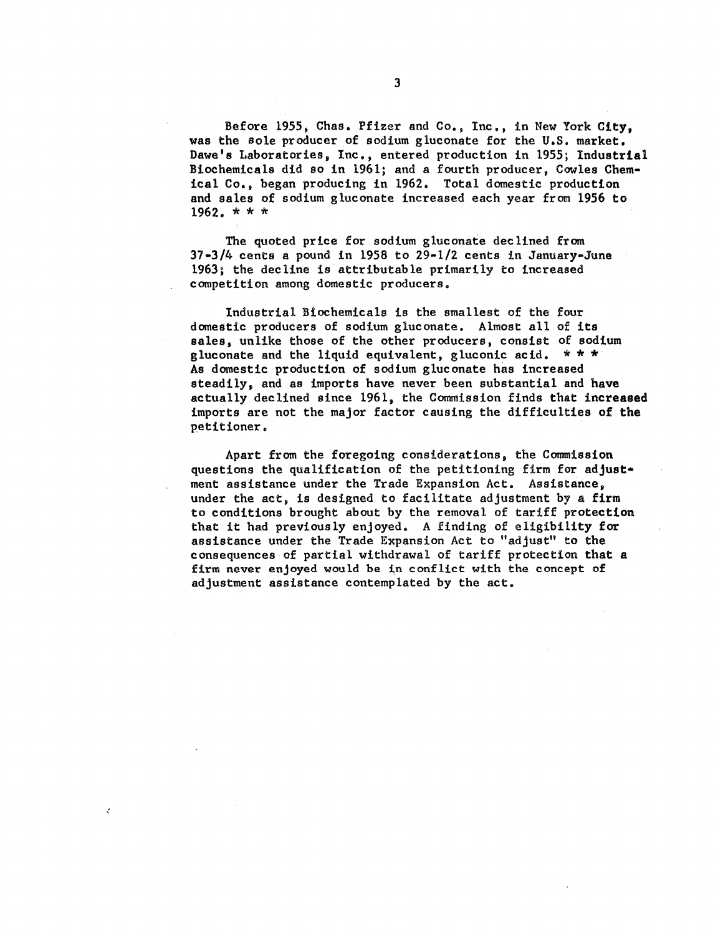**Before 1955, Chas. Pfizer and Co., Inc., in New York City, was the sole producer of sodium gluconate for the U.S. market. Dawe's Laboratories, Inc., entered production in 1955; Industrial Biochemicals did so in 1961; and a fourth producer, Cowles Chemical Co., began producing in 1962. Total domestic production and sales of sodium gluconate increased each year from 1956 to 1962. \* \* \*** 

**The quoted price for sodium gluconate declined from 37-3/4 cents a pound in 1958 to 29-1/2 cents in January-June 1963; the decline is attributable primarily to increased competition among domestic producers.** 

**Industrial Biochemicals is the smallest of the four domestic producers of sodium gluconate. Almost all of its sales, unlike those of the other producers, consist of sodium gluconate and the liquid equivalent, gluconic acid. \* \* \* As domestic production of sodium gluconate has increased steadily, and as imports have never been substantial and have actually declined since 1961, the Commission finds that increased imports are not the major factor causing the difficulties of the petitioner.** 

**Apart from the foregoing considerations, the Commission questions the qualification of the petitioning firm for adjust.. meat assistance under the Trade Expansion Act. Assistance, under the act, is designed to facilitate adjustment by a firm to conditions brought about by the removal of tariff protection that it had previously enjoyed. A finding of eligibility for assistance under the Trade Expansion Act to "adjust" to the consequences of partial withdrawal of tariff protection that a firm never enjoyed would be in conflict with the concept of adjustment assistance contemplated by the act.** 

ś